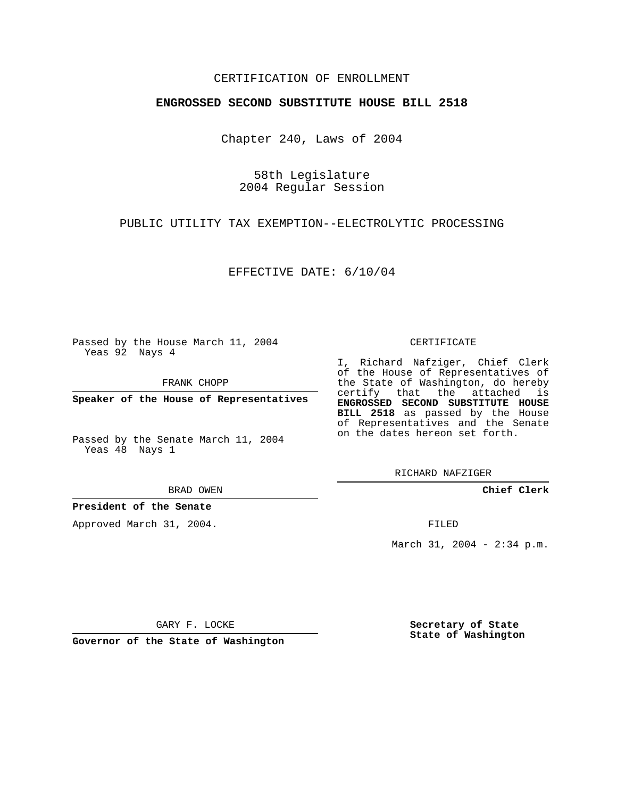## CERTIFICATION OF ENROLLMENT

## **ENGROSSED SECOND SUBSTITUTE HOUSE BILL 2518**

Chapter 240, Laws of 2004

58th Legislature 2004 Regular Session

PUBLIC UTILITY TAX EXEMPTION--ELECTROLYTIC PROCESSING

EFFECTIVE DATE: 6/10/04

Passed by the House March 11, 2004 Yeas 92 Nays 4

FRANK CHOPP

**Speaker of the House of Representatives**

Passed by the Senate March 11, 2004 Yeas 48 Nays 1

BRAD OWEN

**President of the Senate**

Approved March 31, 2004.

CERTIFICATE

I, Richard Nafziger, Chief Clerk of the House of Representatives of the State of Washington, do hereby certify that the attached is **ENGROSSED SECOND SUBSTITUTE HOUSE BILL 2518** as passed by the House of Representatives and the Senate on the dates hereon set forth.

RICHARD NAFZIGER

**Chief Clerk**

FILED

March 31, 2004 - 2:34 p.m.

GARY F. LOCKE

**Governor of the State of Washington**

**Secretary of State State of Washington**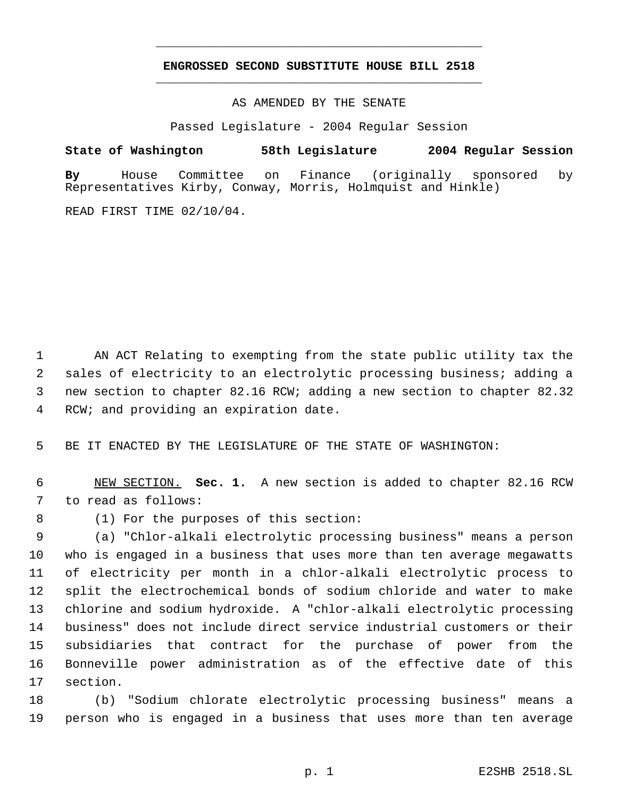## **ENGROSSED SECOND SUBSTITUTE HOUSE BILL 2518** \_\_\_\_\_\_\_\_\_\_\_\_\_\_\_\_\_\_\_\_\_\_\_\_\_\_\_\_\_\_\_\_\_\_\_\_\_\_\_\_\_\_\_\_\_

\_\_\_\_\_\_\_\_\_\_\_\_\_\_\_\_\_\_\_\_\_\_\_\_\_\_\_\_\_\_\_\_\_\_\_\_\_\_\_\_\_\_\_\_\_

AS AMENDED BY THE SENATE

Passed Legislature - 2004 Regular Session

**State of Washington 58th Legislature 2004 Regular Session By** House Committee on Finance (originally sponsored by Representatives Kirby, Conway, Morris, Holmquist and Hinkle)

READ FIRST TIME 02/10/04.

 AN ACT Relating to exempting from the state public utility tax the sales of electricity to an electrolytic processing business; adding a new section to chapter 82.16 RCW; adding a new section to chapter 82.32 RCW; and providing an expiration date.

BE IT ENACTED BY THE LEGISLATURE OF THE STATE OF WASHINGTON:

 NEW SECTION. **Sec. 1.** A new section is added to chapter 82.16 RCW to read as follows:

(1) For the purposes of this section:

 (a) "Chlor-alkali electrolytic processing business" means a person who is engaged in a business that uses more than ten average megawatts of electricity per month in a chlor-alkali electrolytic process to split the electrochemical bonds of sodium chloride and water to make chlorine and sodium hydroxide. A "chlor-alkali electrolytic processing business" does not include direct service industrial customers or their subsidiaries that contract for the purchase of power from the Bonneville power administration as of the effective date of this section.

 (b) "Sodium chlorate electrolytic processing business" means a person who is engaged in a business that uses more than ten average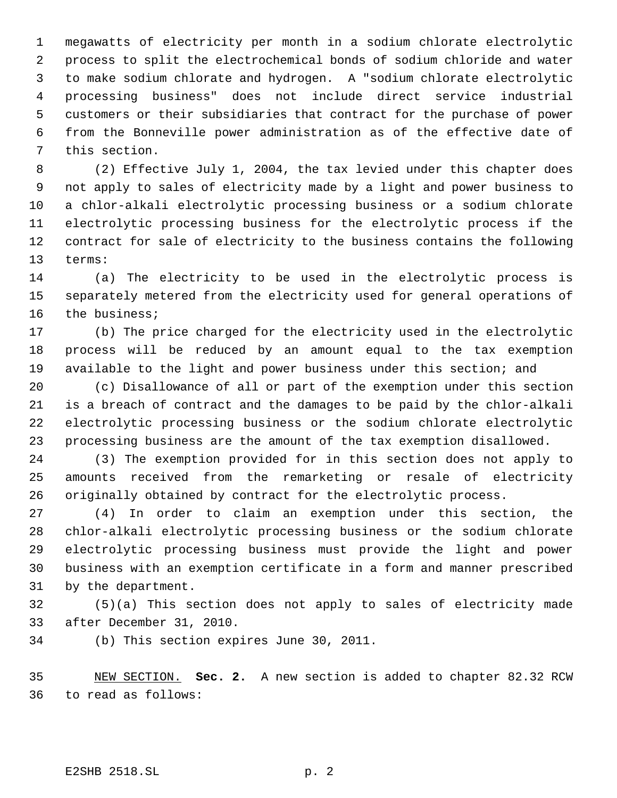megawatts of electricity per month in a sodium chlorate electrolytic process to split the electrochemical bonds of sodium chloride and water to make sodium chlorate and hydrogen. A "sodium chlorate electrolytic processing business" does not include direct service industrial customers or their subsidiaries that contract for the purchase of power from the Bonneville power administration as of the effective date of this section.

 (2) Effective July 1, 2004, the tax levied under this chapter does not apply to sales of electricity made by a light and power business to a chlor-alkali electrolytic processing business or a sodium chlorate electrolytic processing business for the electrolytic process if the contract for sale of electricity to the business contains the following terms:

 (a) The electricity to be used in the electrolytic process is separately metered from the electricity used for general operations of the business;

 (b) The price charged for the electricity used in the electrolytic process will be reduced by an amount equal to the tax exemption available to the light and power business under this section; and

 (c) Disallowance of all or part of the exemption under this section is a breach of contract and the damages to be paid by the chlor-alkali electrolytic processing business or the sodium chlorate electrolytic processing business are the amount of the tax exemption disallowed.

 (3) The exemption provided for in this section does not apply to amounts received from the remarketing or resale of electricity originally obtained by contract for the electrolytic process.

 (4) In order to claim an exemption under this section, the chlor-alkali electrolytic processing business or the sodium chlorate electrolytic processing business must provide the light and power business with an exemption certificate in a form and manner prescribed by the department.

 (5)(a) This section does not apply to sales of electricity made after December 31, 2010.

(b) This section expires June 30, 2011.

 NEW SECTION. **Sec. 2.** A new section is added to chapter 82.32 RCW to read as follows: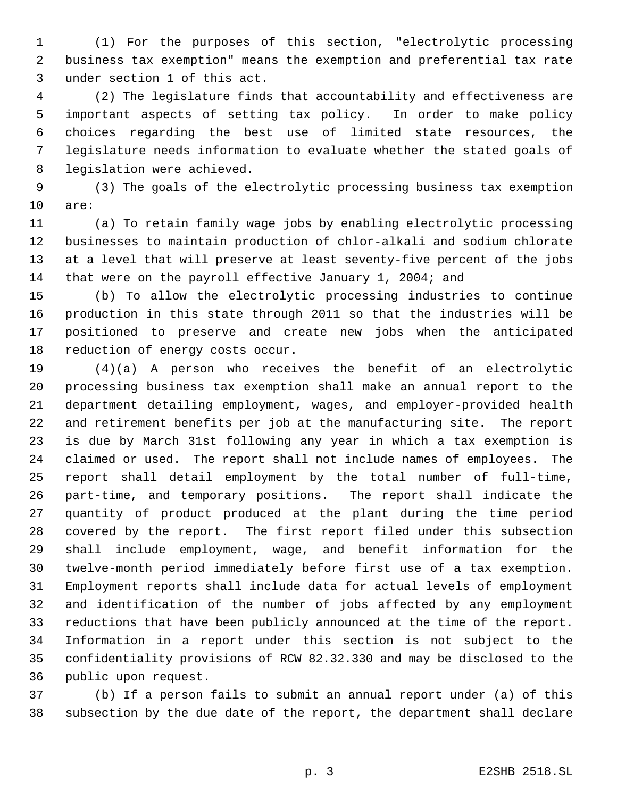(1) For the purposes of this section, "electrolytic processing business tax exemption" means the exemption and preferential tax rate under section 1 of this act.

 (2) The legislature finds that accountability and effectiveness are important aspects of setting tax policy. In order to make policy choices regarding the best use of limited state resources, the legislature needs information to evaluate whether the stated goals of legislation were achieved.

 (3) The goals of the electrolytic processing business tax exemption are:

 (a) To retain family wage jobs by enabling electrolytic processing businesses to maintain production of chlor-alkali and sodium chlorate at a level that will preserve at least seventy-five percent of the jobs that were on the payroll effective January 1, 2004; and

 (b) To allow the electrolytic processing industries to continue production in this state through 2011 so that the industries will be positioned to preserve and create new jobs when the anticipated reduction of energy costs occur.

 (4)(a) A person who receives the benefit of an electrolytic processing business tax exemption shall make an annual report to the department detailing employment, wages, and employer-provided health and retirement benefits per job at the manufacturing site. The report is due by March 31st following any year in which a tax exemption is claimed or used. The report shall not include names of employees. The report shall detail employment by the total number of full-time, part-time, and temporary positions. The report shall indicate the quantity of product produced at the plant during the time period covered by the report. The first report filed under this subsection shall include employment, wage, and benefit information for the twelve-month period immediately before first use of a tax exemption. Employment reports shall include data for actual levels of employment and identification of the number of jobs affected by any employment reductions that have been publicly announced at the time of the report. Information in a report under this section is not subject to the confidentiality provisions of RCW 82.32.330 and may be disclosed to the public upon request.

 (b) If a person fails to submit an annual report under (a) of this subsection by the due date of the report, the department shall declare